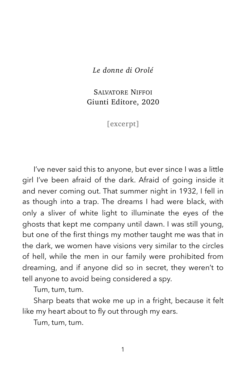*Le donne di Orolé* 

SALVATORE NIFFOI Giunti Editore, 2020

[excerpt]

I've never said this to anyone, but ever since I was a little girl I've been afraid of the dark. Afraid of going inside it and never coming out. That summer night in 1932, I fell in as though into a trap. The dreams I had were black, with only a sliver of white light to illuminate the eyes of the ghosts that kept me company until dawn. I was still young, but one of the first things my mother taught me was that in the dark, we women have visions very similar to the circles of hell, while the men in our family were prohibited from dreaming, and if anyone did so in secret, they weren't to tell anyone to avoid being considered a spy.

Tum, tum, tum.

Sharp beats that woke me up in a fright, because it felt like my heart about to fly out through my ears.

Tum, tum, tum.